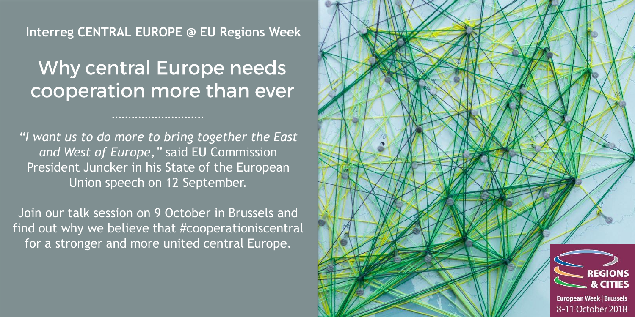**Interreg CENTRAL EUROPE @ EU Regions Week**

## Why central Europe needs cooperation more than ever

*"I want us to do more to bring together the East and West of Europe,"* said EU Commission President Juncker in his State of the European Union speech on 12 September.

Join our talk session on 9 October in Brussels and find out why we believe that #cooperationiscentral for a stronger and more united central Europe.

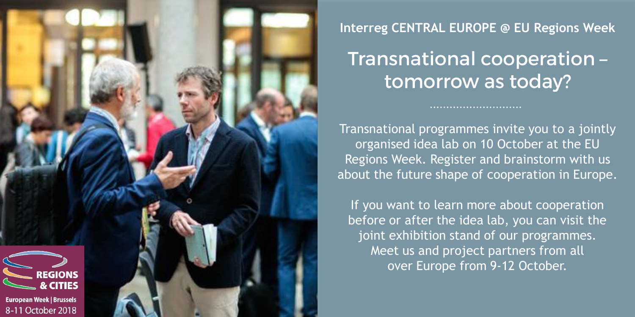

**Interreg CENTRAL EUROPE @ EU Regions Week**

## Transnational cooperation tomorrow as today?

Transnational programmes invite you to a jointly organised idea lab on 10 October at the EU Regions Week. Register and brainstorm with us about the future shape of cooperation in Europe.

If you want to learn more about cooperation before or after the idea lab, you can visit the joint exhibition stand of our programmes. Meet us and project partners from all over Europe from 9-12 October.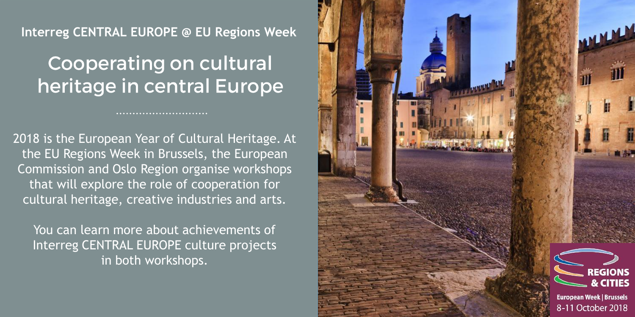#### **Interreg CENTRAL EUROPE @ EU Regions Week**

## **Cooperating on cultural** heritage in central Europe

2018 is the European Year of Cultural Heritage. At the EU Regions Week in Brussels, the European Commission and Oslo Region organise workshops that will explore the role of cooperation for cultural heritage, creative industries and arts.

You can learn more about achievements of Interreg CENTRAL EUROPE culture projects in both workshops.

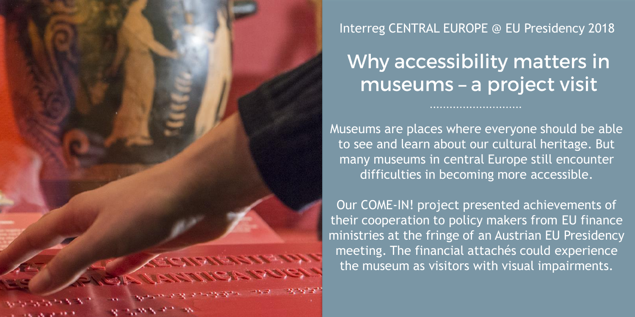

Interreg CENTRAL EUROPE @ EU Presidency 2018

Why accessibility matters in museums - a project visit

Museums are places where everyone should be able to see and learn about our cultural heritage. But many museums in central Europe still encounter difficulties in becoming more accessible.

Our COME-IN! project presented achievements of their cooperation to policy makers from EU finance ministries at the fringe of an Austrian EU Presidency meeting. The financial attachés could experience the museum as visitors with visual impairments.